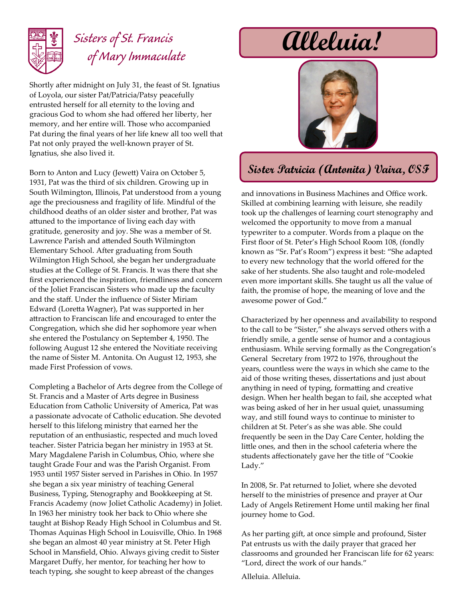

## *Sisters of St. Francis of Mary Immaculate*

Shortly after midnight on July 31, the feast of St. Ignatius of Loyola, our sister Pat/Patricia/Patsy peacefully entrusted herself for all eternity to the loving and gracious God to whom she had offered her liberty, her memory, and her entire will. Those who accompanied Pat during the final years of her life knew all too well that Pat not only prayed the well-known prayer of St. Ignatius, she also lived it.

Born to Anton and Lucy (Jewett) Vaira on October 5, 1931, Pat was the third of six children. Growing up in South Wilmington, Illinois, Pat understood from a young age the preciousness and fragility of life. Mindful of the childhood deaths of an older sister and brother, Pat was attuned to the importance of living each day with gratitude, generosity and joy. She was a member of St. Lawrence Parish and attended South Wilmington Elementary School. After graduating from South Wilmington High School, she began her undergraduate studies at the College of St. Francis. It was there that she first experienced the inspiration, friendliness and concern of the Joliet Franciscan Sisters who made up the faculty and the staff. Under the influence of Sister Miriam Edward (Loretta Wagner), Pat was supported in her attraction to Franciscan life and encouraged to enter the Congregation, which she did her sophomore year when she entered the Postulancy on September 4, 1950. The following August 12 she entered the Novitiate receiving the name of Sister M. Antonita. On August 12, 1953, she made First Profession of vows.

Completing a Bachelor of Arts degree from the College of St. Francis and a Master of Arts degree in Business Education from Catholic University of America, Pat was a passionate advocate of Catholic education. She devoted herself to this lifelong ministry that earned her the reputation of an enthusiastic, respected and much loved teacher. Sister Patricia began her ministry in 1953 at St. Mary Magdalene Parish in Columbus, Ohio, where she taught Grade Four and was the Parish Organist. From 1953 until 1957 Sister served in Parishes in Ohio. In 1957 she began a six year ministry of teaching General Business, Typing, Stenography and Bookkeeping at St. Francis Academy (now Joliet Catholic Academy) in Joliet. In 1963 her ministry took her back to Ohio where she taught at Bishop Ready High School in Columbus and St. Thomas Aquinas High School in Louisville, Ohio. In 1968 she began an almost 40 year ministry at St. Peter High School in Mansfield, Ohio. Always giving credit to Sister Margaret Duffy, her mentor, for teaching her how to teach typing, she sought to keep abreast of the changes

# **Alleluia!**



### **Sister Patricia (Antonita) Vaira, OSF**

and innovations in Business Machines and Office work. Skilled at combining learning with leisure, she readily took up the challenges of learning court stenography and welcomed the opportunity to move from a manual typewriter to a computer. Words from a plaque on the First floor of St. Peter's High School Room 108, (fondly known as "Sr. Pat's Room") express it best: "She adapted to every new technology that the world offered for the sake of her students. She also taught and role-modeled even more important skills. She taught us all the value of faith, the promise of hope, the meaning of love and the awesome power of God."

Characterized by her openness and availability to respond to the call to be "Sister," she always served others with a friendly smile, a gentle sense of humor and a contagious enthusiasm. While serving formally as the Congregation's General Secretary from 1972 to 1976, throughout the years, countless were the ways in which she came to the aid of those writing theses, dissertations and just about anything in need of typing, formatting and creative design. When her health began to fail, she accepted what was being asked of her in her usual quiet, unassuming way, and still found ways to continue to minister to children at St. Peter's as she was able. She could frequently be seen in the Day Care Center, holding the little ones, and then in the school cafeteria where the students affectionately gave her the title of "Cookie Lady."

In 2008, Sr. Pat returned to Joliet, where she devoted herself to the ministries of presence and prayer at Our Lady of Angels Retirement Home until making her final journey home to God.

As her parting gift, at once simple and profound, Sister Pat entrusts us with the daily prayer that graced her classrooms and grounded her Franciscan life for 62 years: "Lord, direct the work of our hands."

Alleluia. Alleluia.